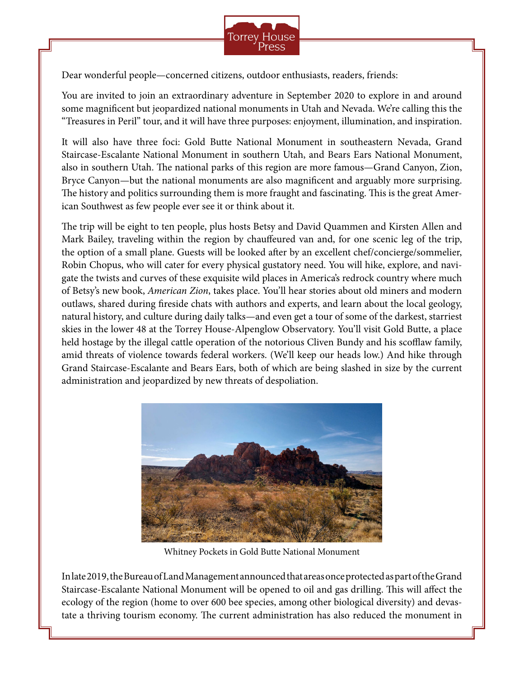

Dear wonderful people—concerned citizens, outdoor enthusiasts, readers, friends:

You are invited to join an extraordinary adventure in September 2020 to explore in and around some magnificent but jeopardized national monuments in Utah and Nevada. We're calling this the "Treasures in Peril" tour, and it will have three purposes: enjoyment, illumination, and inspiration.

It will also have three foci: Gold Butte National Monument in southeastern Nevada, Grand Staircase-Escalante National Monument in southern Utah, and Bears Ears National Monument, also in southern Utah. The national parks of this region are more famous—Grand Canyon, Zion, Bryce Canyon—but the national monuments are also magnificent and arguably more surprising. The history and politics surrounding them is more fraught and fascinating. This is the great American Southwest as few people ever see it or think about it.

The trip will be eight to ten people, plus hosts Betsy and David Quammen and Kirsten Allen and Mark Bailey, traveling within the region by chauffeured van and, for one scenic leg of the trip, the option of a small plane. Guests will be looked after by an excellent chef/concierge/sommelier, Robin Chopus, who will cater for every physical gustatory need. You will hike, explore, and navigate the twists and curves of these exquisite wild places in America's redrock country where much of Betsy's new book, *American Zion*, takes place. You'll hear stories about old miners and modern outlaws, shared during fireside chats with authors and experts, and learn about the local geology, natural history, and culture during daily talks—and even get a tour of some of the darkest, starriest skies in the lower 48 at the Torrey House-Alpenglow Observatory. You'll visit Gold Butte, a place held hostage by the illegal cattle operation of the notorious Cliven Bundy and his scofflaw family, amid threats of violence towards federal workers. (We'll keep our heads low.) And hike through Grand Staircase-Escalante and Bears Ears, both of which are being slashed in size by the current administration and jeopardized by new threats of despoliation.



Whitney Pockets in Gold Butte National Monument

In late 2019, the Bureau of Land Management announced that areas once protected as part of the Grand Staircase-Escalante National Monument will be opened to oil and gas drilling. This will affect the ecology of the region (home to over 600 bee species, among other biological diversity) and devastate a thriving tourism economy. The current administration has also reduced the monument in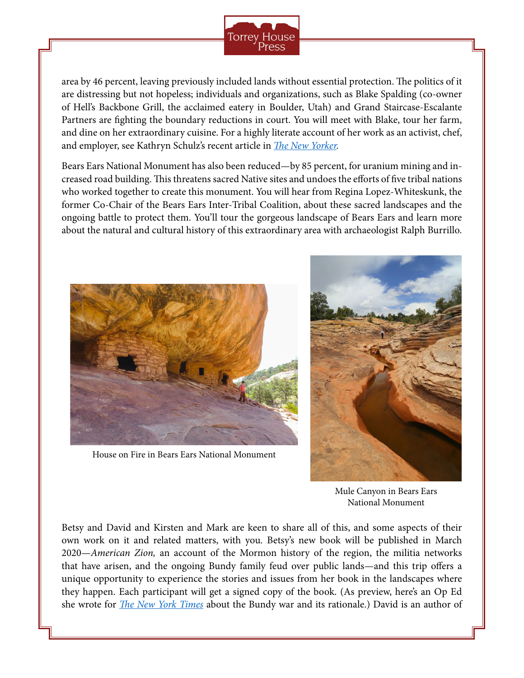

area by 46 percent, leaving previously included lands without essential protection. The politics of it are distressing but not hopeless; individuals and organizations, such as Blake Spalding (co-owner of Hell's Backbone Grill, the acclaimed eatery in Boulder, Utah) and Grand Staircase-Escalante Partners are fighting the boundary reductions in court. You will meet with Blake, tour her farm, and dine on her extraordinary cuisine. For a highly literate account of her work as an activist, chef, and employer, see Kathryn Schulz's recent article in *[The New Yorker](https://www.newyorker.com/magazine/2018/10/01/why-two-chefs-in-small-town-utah-decided-to-sue-president-trump).*

Bears Ears National Monument has also been reduced—by 85 percent, for uranium mining and increased road building. This threatens sacred Native sites and undoes the efforts of five tribal nations who worked together to create this monument. You will hear from Regina Lopez-Whiteskunk, the former Co-Chair of the Bears Ears Inter-Tribal Coalition, about these sacred landscapes and the ongoing battle to protect them. You'll tour the gorgeous landscape of Bears Ears and learn more about the natural and cultural history of this extraordinary area with archaeologist Ralph Burrillo.



House on Fire in Bears Ears National Monument



Mule Canyon in Bears Ears National Monument

Betsy and David and Kirsten and Mark are keen to share all of this, and some aspects of their own work on it and related matters, with you. Betsy's new book will be published in March 2020—*American Zion,* an account of the Mormon history of the region, the militia networks that have arisen, and the ongoing Bundy family feud over public lands—and this trip offers a unique opportunity to experience the stories and issues from her book in the landscapes where they happen. Each participant will get a signed copy of the book. (As preview, here's an Op Ed she wrote for *[The New York Times](https://www.nytimes.com/2016/01/30/opinion/the-war-for-the-west-rages-on.html)* about the Bundy war and its rationale.) David is an author of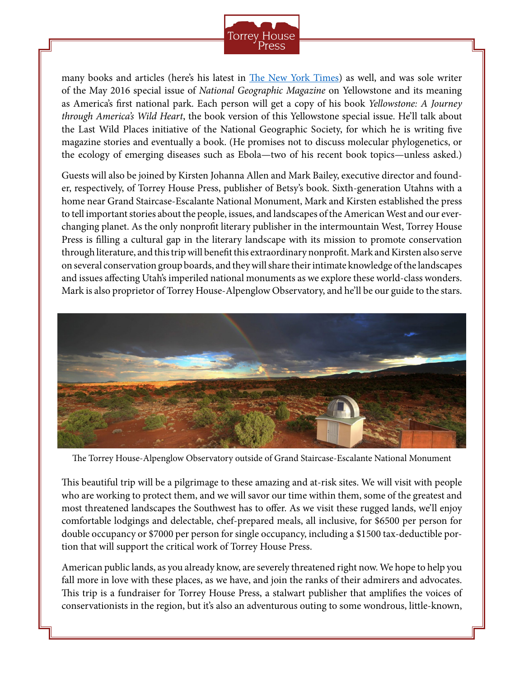

many books and articles (here's his latest in [The New York Times](https://www.nytimes.com/2020/01/28/opinion/coronavirus-china.html)) as well, and was sole writer of the May 2016 special issue of *National Geographic Magazine* on Yellowstone and its meaning as America's first national park. Each person will get a copy of his book *Yellowstone: A Journey through America's Wild Heart*, the book version of this Yellowstone special issue. He'll talk about the Last Wild Places initiative of the National Geographic Society, for which he is writing five magazine stories and eventually a book. (He promises not to discuss molecular phylogenetics, or the ecology of emerging diseases such as Ebola—two of his recent book topics—unless asked.)

Guests will also be joined by Kirsten Johanna Allen and Mark Bailey, executive director and founder, respectively, of Torrey House Press, publisher of Betsy's book. Sixth-generation Utahns with a home near Grand Staircase-Escalante National Monument, Mark and Kirsten established the press to tell important stories about the people, issues, and landscapes of the American West and our everchanging planet. As the only nonprofit literary publisher in the intermountain West, Torrey House Press is filling a cultural gap in the literary landscape with its mission to promote conservation through literature, and this trip will benefit this extraordinary nonprofit. Mark and Kirsten also serve on several conservation group boards, and they will share their intimate knowledge of the landscapes and issues affecting Utah's imperiled national monuments as we explore these world-class wonders. Mark is also proprietor of Torrey House-Alpenglow Observatory, and he'll be our guide to the stars.



The Torrey House-Alpenglow Observatory outside of Grand Staircase-Escalante National Monument

This beautiful trip will be a pilgrimage to these amazing and at-risk sites. We will visit with people who are working to protect them, and we will savor our time within them, some of the greatest and most threatened landscapes the Southwest has to offer. As we visit these rugged lands, we'll enjoy comfortable lodgings and delectable, chef-prepared meals, all inclusive, for \$6500 per person for double occupancy or \$7000 per person for single occupancy, including a \$1500 tax-deductible portion that will support the critical work of Torrey House Press.

American public lands, as you already know, are severely threatened right now. We hope to help you fall more in love with these places, as we have, and join the ranks of their admirers and advocates. This trip is a fundraiser for Torrey House Press, a stalwart publisher that amplifies the voices of conservationists in the region, but it's also an adventurous outing to some wondrous, little-known,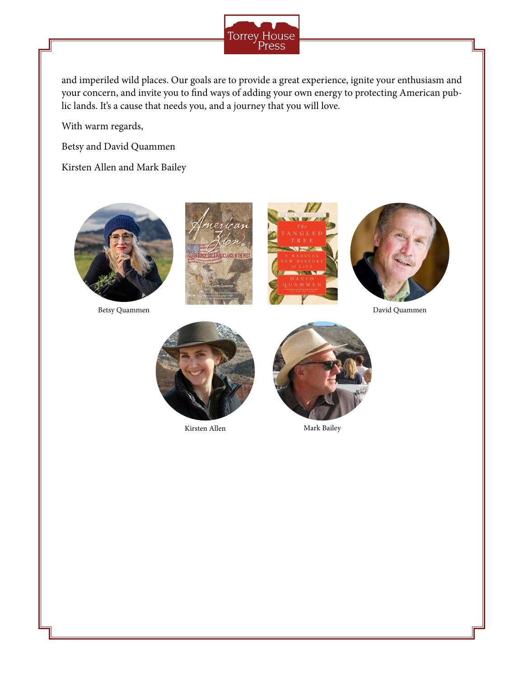

and imperiled wild places. Our goals are to provide a great experience, ignite your enthusiasm and your concern, and invite you to find ways of adding your own energy to protecting American public lands. It's a cause that needs you, and a journey that you will love.

With warm regards,

Betsy and David Quammen

Kirsten Allen and Mark Bailey













Kirsten Allen Mark Bailey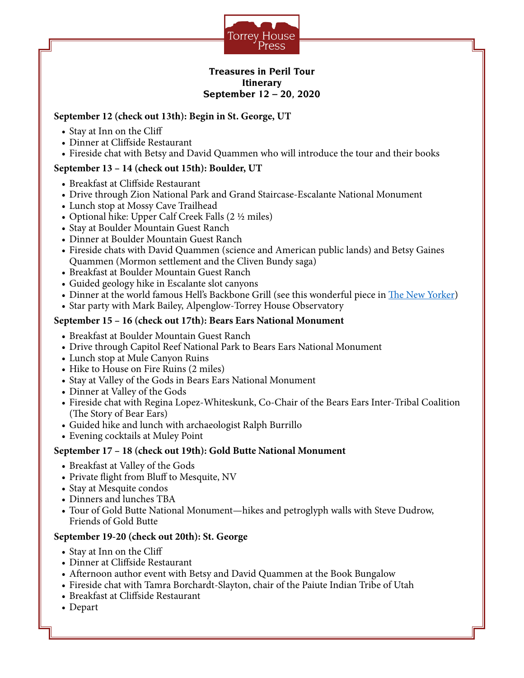

#### **Treasures in Peril Tour Itinerary September 12 – 20, 2020**

### **September 12 (check out 13th): Begin in St. George, UT**

- Stay at Inn on the Cliff
- Dinner at Cliffside Restaurant
- Fireside chat with Betsy and David Quammen who will introduce the tour and their books

## **September 13 – 14 (check out 15th): Boulder, UT**

- Breakfast at Cliffside Restaurant
- Drive through Zion National Park and Grand Staircase-Escalante National Monument
- Lunch stop at Mossy Cave Trailhead
- Optional hike: Upper Calf Creek Falls (2 ½ miles)
- Stay at Boulder Mountain Guest Ranch
- Dinner at Boulder Mountain Guest Ranch
- Fireside chats with David Quammen (science and American public lands) and Betsy Gaines Quammen (Mormon settlement and the Cliven Bundy saga)
- Breakfast at Boulder Mountain Guest Ranch
- Guided geology hike in Escalante slot canyons
- Dinner at the world famous Hell's Backbone Grill (see this wonderful piece in [The New Yorker](https://www.newyorker.com/magazine/2018/10/01/why-two-chefs-in-small-town-utah-decided-to-sue-president-trump))
- Star party with Mark Bailey, Alpenglow-Torrey House Observatory

### **September 15 – 16 (check out 17th): Bears Ears National Monument**

- Breakfast at Boulder Mountain Guest Ranch
- Drive through Capitol Reef National Park to Bears Ears National Monument
- Lunch stop at Mule Canyon Ruins
- Hike to House on Fire Ruins (2 miles)
- Stay at Valley of the Gods in Bears Ears National Monument
- Dinner at Valley of the Gods
- Fireside chat with Regina Lopez-Whiteskunk, Co-Chair of the Bears Ears Inter-Tribal Coalition (The Story of Bear Ears)
- Guided hike and lunch with archaeologist Ralph Burrillo
- Evening cocktails at Muley Point

### **September 17 – 18 (check out 19th): Gold Butte National Monument**

- Breakfast at Valley of the Gods
- Private flight from Bluff to Mesquite, NV
- Stay at Mesquite condos
- Dinners and lunches TBA
- Tour of Gold Butte National Monument—hikes and petroglyph walls with Steve Dudrow, Friends of Gold Butte

### **September 19-20 (check out 20th): St. George**

- Stay at Inn on the Cliff
- Dinner at Cliffside Restaurant
- Afternoon author event with Betsy and David Quammen at the Book Bungalow
- Fireside chat with Tamra Borchardt-Slayton, chair of the Paiute Indian Tribe of Utah
- Breakfast at Cliffside Restaurant
- Depart